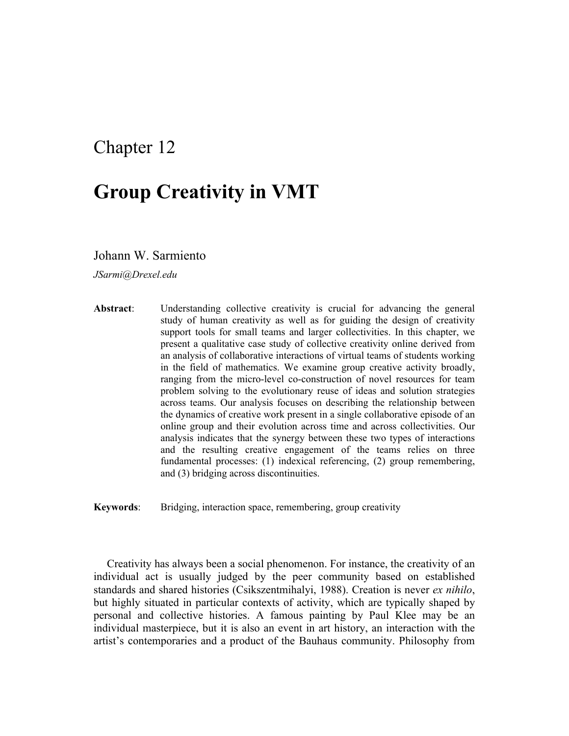## Chapter 12

# **Group Creativity in VMT**

#### Johann W. Sarmiento

*JSarmi@Drexel.edu*

**Abstract**: Understanding collective creativity is crucial for advancing the general study of human creativity as well as for guiding the design of creativity support tools for small teams and larger collectivities. In this chapter, we present a qualitative case study of collective creativity online derived from an analysis of collaborative interactions of virtual teams of students working in the field of mathematics. We examine group creative activity broadly, ranging from the micro-level co-construction of novel resources for team problem solving to the evolutionary reuse of ideas and solution strategies across teams. Our analysis focuses on describing the relationship between the dynamics of creative work present in a single collaborative episode of an online group and their evolution across time and across collectivities. Our analysis indicates that the synergy between these two types of interactions and the resulting creative engagement of the teams relies on three fundamental processes: (1) indexical referencing, (2) group remembering, and (3) bridging across discontinuities.

**Keywords**: Bridging, interaction space, remembering, group creativity

Creativity has always been a social phenomenon. For instance, the creativity of an individual act is usually judged by the peer community based on established standards and shared histories (Csikszentmihalyi, 1988). Creation is never *ex nihilo*, but highly situated in particular contexts of activity, which are typically shaped by personal and collective histories. A famous painting by Paul Klee may be an individual masterpiece, but it is also an event in art history, an interaction with the artist's contemporaries and a product of the Bauhaus community. Philosophy from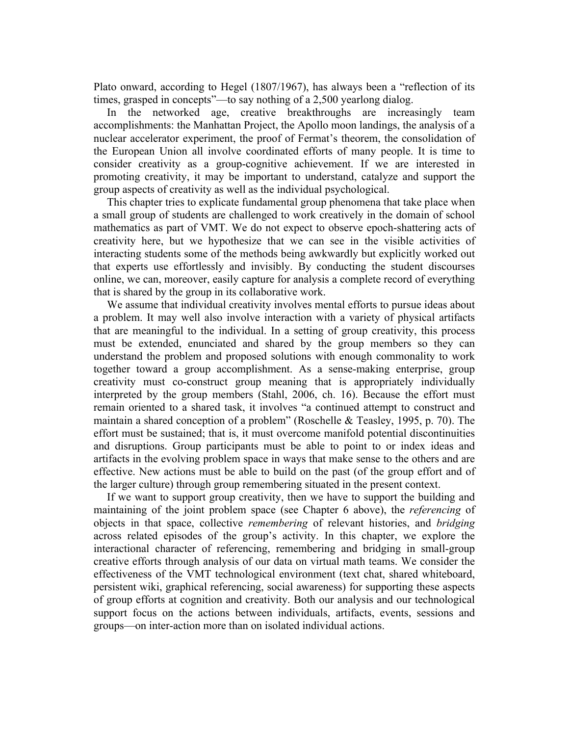Plato onward, according to Hegel (1807/1967), has always been a "reflection of its times, grasped in concepts"—to say nothing of a 2,500 yearlong dialog.

In the networked age, creative breakthroughs are increasingly team accomplishments: the Manhattan Project, the Apollo moon landings, the analysis of a nuclear accelerator experiment, the proof of Fermat's theorem, the consolidation of the European Union all involve coordinated efforts of many people. It is time to consider creativity as a group-cognitive achievement. If we are interested in promoting creativity, it may be important to understand, catalyze and support the group aspects of creativity as well as the individual psychological.

This chapter tries to explicate fundamental group phenomena that take place when a small group of students are challenged to work creatively in the domain of school mathematics as part of VMT. We do not expect to observe epoch-shattering acts of creativity here, but we hypothesize that we can see in the visible activities of interacting students some of the methods being awkwardly but explicitly worked out that experts use effortlessly and invisibly. By conducting the student discourses online, we can, moreover, easily capture for analysis a complete record of everything that is shared by the group in its collaborative work.

We assume that individual creativity involves mental efforts to pursue ideas about a problem. It may well also involve interaction with a variety of physical artifacts that are meaningful to the individual. In a setting of group creativity, this process must be extended, enunciated and shared by the group members so they can understand the problem and proposed solutions with enough commonality to work together toward a group accomplishment. As a sense-making enterprise, group creativity must co-construct group meaning that is appropriately individually interpreted by the group members (Stahl, 2006, ch. 16). Because the effort must remain oriented to a shared task, it involves "a continued attempt to construct and maintain a shared conception of a problem" (Roschelle & Teasley, 1995, p. 70). The effort must be sustained; that is, it must overcome manifold potential discontinuities and disruptions. Group participants must be able to point to or index ideas and artifacts in the evolving problem space in ways that make sense to the others and are effective. New actions must be able to build on the past (of the group effort and of the larger culture) through group remembering situated in the present context.

If we want to support group creativity, then we have to support the building and maintaining of the joint problem space (see Chapter 6 above), the *referencing* of objects in that space, collective *remembering* of relevant histories, and *bridging* across related episodes of the group's activity. In this chapter, we explore the interactional character of referencing, remembering and bridging in small-group creative efforts through analysis of our data on virtual math teams. We consider the effectiveness of the VMT technological environment (text chat, shared whiteboard, persistent wiki, graphical referencing, social awareness) for supporting these aspects of group efforts at cognition and creativity. Both our analysis and our technological support focus on the actions between individuals, artifacts, events, sessions and groups—on inter-action more than on isolated individual actions.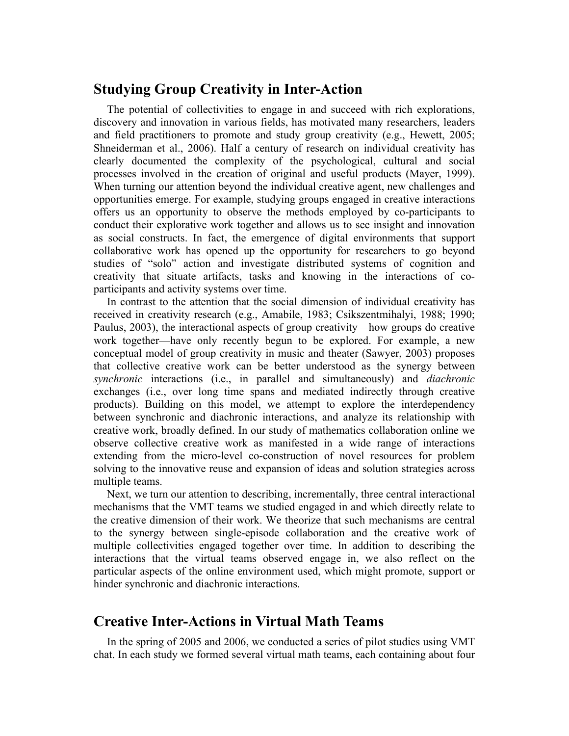### **Studying Group Creativity in Inter-Action**

The potential of collectivities to engage in and succeed with rich explorations, discovery and innovation in various fields, has motivated many researchers, leaders and field practitioners to promote and study group creativity (e.g., Hewett, 2005; Shneiderman et al., 2006). Half a century of research on individual creativity has clearly documented the complexity of the psychological, cultural and social processes involved in the creation of original and useful products (Mayer, 1999). When turning our attention beyond the individual creative agent, new challenges and opportunities emerge. For example, studying groups engaged in creative interactions offers us an opportunity to observe the methods employed by co-participants to conduct their explorative work together and allows us to see insight and innovation as social constructs. In fact, the emergence of digital environments that support collaborative work has opened up the opportunity for researchers to go beyond studies of "solo" action and investigate distributed systems of cognition and creativity that situate artifacts, tasks and knowing in the interactions of coparticipants and activity systems over time.

In contrast to the attention that the social dimension of individual creativity has received in creativity research (e.g., Amabile, 1983; Csikszentmihalyi, 1988; 1990; Paulus, 2003), the interactional aspects of group creativity—how groups do creative work together—have only recently begun to be explored. For example, a new conceptual model of group creativity in music and theater (Sawyer, 2003) proposes that collective creative work can be better understood as the synergy between *synchronic* interactions (i.e., in parallel and simultaneously) and *diachronic* exchanges (i.e., over long time spans and mediated indirectly through creative products). Building on this model, we attempt to explore the interdependency between synchronic and diachronic interactions, and analyze its relationship with creative work, broadly defined. In our study of mathematics collaboration online we observe collective creative work as manifested in a wide range of interactions extending from the micro-level co-construction of novel resources for problem solving to the innovative reuse and expansion of ideas and solution strategies across multiple teams.

Next, we turn our attention to describing, incrementally, three central interactional mechanisms that the VMT teams we studied engaged in and which directly relate to the creative dimension of their work. We theorize that such mechanisms are central to the synergy between single-episode collaboration and the creative work of multiple collectivities engaged together over time. In addition to describing the interactions that the virtual teams observed engage in, we also reflect on the particular aspects of the online environment used, which might promote, support or hinder synchronic and diachronic interactions.

### **Creative Inter-Actions in Virtual Math Teams**

In the spring of 2005 and 2006, we conducted a series of pilot studies using VMT chat. In each study we formed several virtual math teams, each containing about four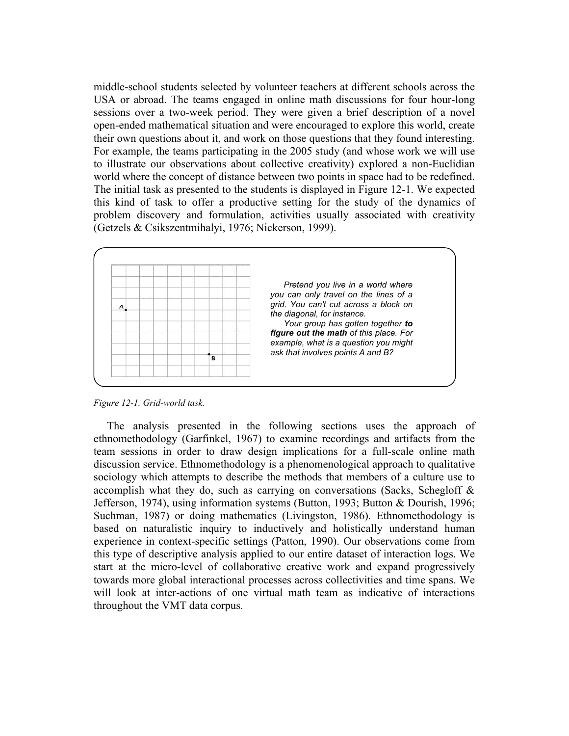middle-school students selected by volunteer teachers at different schools across the USA or abroad. The teams engaged in online math discussions for four hour-long sessions over a two-week period. They were given a brief description of a novel open-ended mathematical situation and were encouraged to explore this world, create their own questions about it, and work on those questions that they found interesting. For example, the teams participating in the 2005 study (and whose work we will use to illustrate our observations about collective creativity) explored a non-Euclidian world where the concept of distance between two points in space had to be redefined. The initial task as presented to the students is displayed in Figure 12-1. We expected this kind of task to offer a productive setting for the study of the dynamics of problem discovery and formulation, activities usually associated with creativity (Getzels & Csikszentmihalyi, 1976; Nickerson, 1999).



*Figure 12-1. Grid-world task.*

The analysis presented in the following sections uses the approach of ethnomethodology (Garfinkel, 1967) to examine recordings and artifacts from the team sessions in order to draw design implications for a full-scale online math discussion service. Ethnomethodology is a phenomenological approach to qualitative sociology which attempts to describe the methods that members of a culture use to accomplish what they do, such as carrying on conversations (Sacks, Schegloff & Jefferson, 1974), using information systems (Button, 1993; Button & Dourish, 1996; Suchman, 1987) or doing mathematics (Livingston, 1986). Ethnomethodology is based on naturalistic inquiry to inductively and holistically understand human experience in context-specific settings (Patton, 1990). Our observations come from this type of descriptive analysis applied to our entire dataset of interaction logs. We start at the micro-level of collaborative creative work and expand progressively towards more global interactional processes across collectivities and time spans. We will look at inter-actions of one virtual math team as indicative of interactions throughout the VMT data corpus.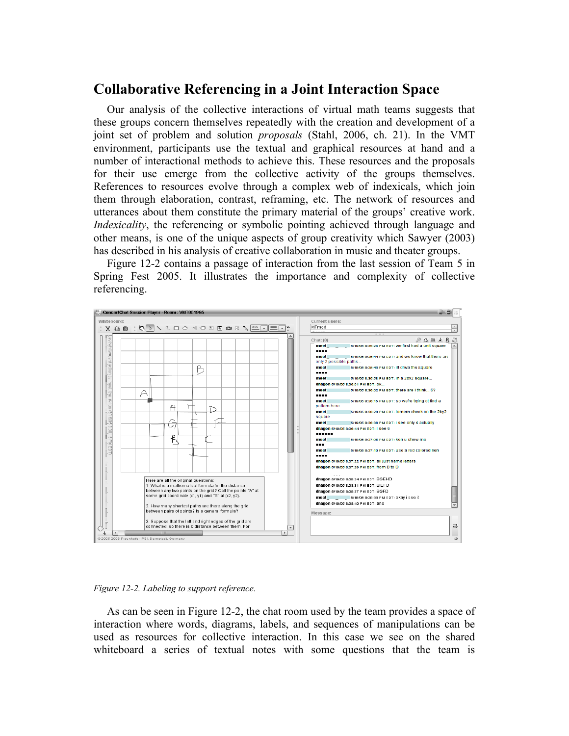### **Collaborative Referencing in a Joint Interaction Space**

Our analysis of the collective interactions of virtual math teams suggests that these groups concern themselves repeatedly with the creation and development of a joint set of problem and solution *proposals* (Stahl, 2006, ch. 21). In the VMT environment, participants use the textual and graphical resources at hand and a number of interactional methods to achieve this. These resources and the proposals for their use emerge from the collective activity of the groups themselves. References to resources evolve through a complex web of indexicals, which join them through elaboration, contrast, reframing, etc. The network of resources and utterances about them constitute the primary material of the groups' creative work. *Indexicality*, the referencing or symbolic pointing achieved through language and other means, is one of the unique aspects of group creativity which Sawyer (2003) has described in his analysis of creative collaboration in music and theater groups.

Figure 12-2 contains a passage of interaction from the last session of Team 5 in Spring Fest 2005. It illustrates the importance and complexity of collective referencing.



#### *Figure 12-2. Labeling to support reference.*

As can be seen in Figure 12-2, the chat room used by the team provides a space of interaction where words, diagrams, labels, and sequences of manipulations can be used as resources for collective interaction. In this case we see on the shared whiteboard a series of textual notes with some questions that the team is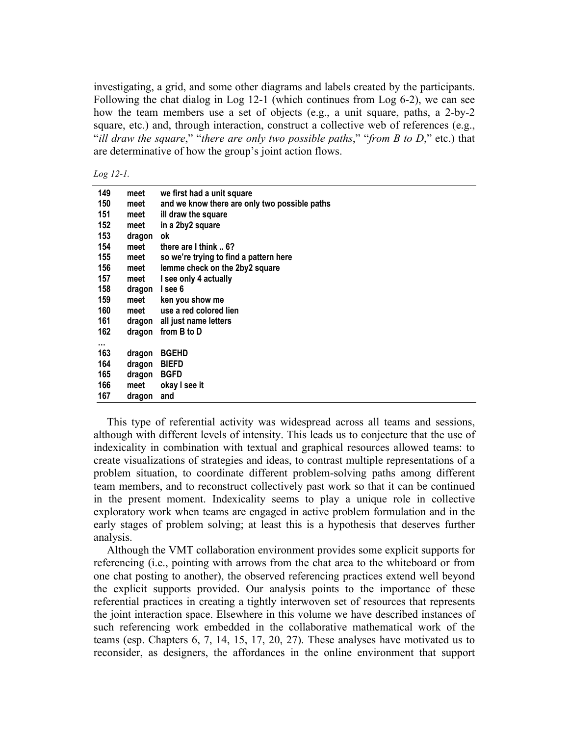investigating, a grid, and some other diagrams and labels created by the participants. Following the chat dialog in Log 12-1 (which continues from Log 6-2), we can see how the team members use a set of objects (e.g., a unit square, paths, a 2-by-2 square, etc.) and, through interaction, construct a collective web of references (e.g., "*ill draw the square*," "*there are only two possible paths*," "*from B to D*," etc.) that are determinative of how the group's joint action flows.

*Log 12-1.*

| 149<br>150 | meet<br>meet | we first had a unit square<br>and we know there are only two possible paths |
|------------|--------------|-----------------------------------------------------------------------------|
| 151        | meet         | ill draw the square                                                         |
| 152        | meet         | in a 2by2 square                                                            |
| 153        | dragon       | ok                                                                          |
| 154        | meet         | there are I think  6?                                                       |
| 155        | meet         | so we're trying to find a pattern here                                      |
| 156        | meet         | lemme check on the 2by2 square                                              |
| 157        | meet         | I see only 4 actually                                                       |
| 158        | dragon       | l see 6                                                                     |
| 159        | meet         | ken you show me                                                             |
| 160        | meet         | use a red colored lien                                                      |
| 161        |              | dragon all just name letters                                                |
| 162        | dragon       | from B to D                                                                 |
| <br>163    | dragon       | <b>BGEHD</b>                                                                |
| 164        | dragon       | <b>BIEFD</b>                                                                |
| 165        |              | <b>BGFD</b>                                                                 |
|            | dragon       |                                                                             |
| 166        | meet         | okay I see it                                                               |
| 167        | dragon       | and                                                                         |

This type of referential activity was widespread across all teams and sessions, although with different levels of intensity. This leads us to conjecture that the use of indexicality in combination with textual and graphical resources allowed teams: to create visualizations of strategies and ideas, to contrast multiple representations of a problem situation, to coordinate different problem-solving paths among different team members, and to reconstruct collectively past work so that it can be continued in the present moment. Indexicality seems to play a unique role in collective exploratory work when teams are engaged in active problem formulation and in the early stages of problem solving; at least this is a hypothesis that deserves further analysis.

Although the VMT collaboration environment provides some explicit supports for referencing (i.e., pointing with arrows from the chat area to the whiteboard or from one chat posting to another), the observed referencing practices extend well beyond the explicit supports provided. Our analysis points to the importance of these referential practices in creating a tightly interwoven set of resources that represents the joint interaction space. Elsewhere in this volume we have described instances of such referencing work embedded in the collaborative mathematical work of the teams (esp. Chapters 6, 7, 14, 15, 17, 20, 27). These analyses have motivated us to reconsider, as designers, the affordances in the online environment that support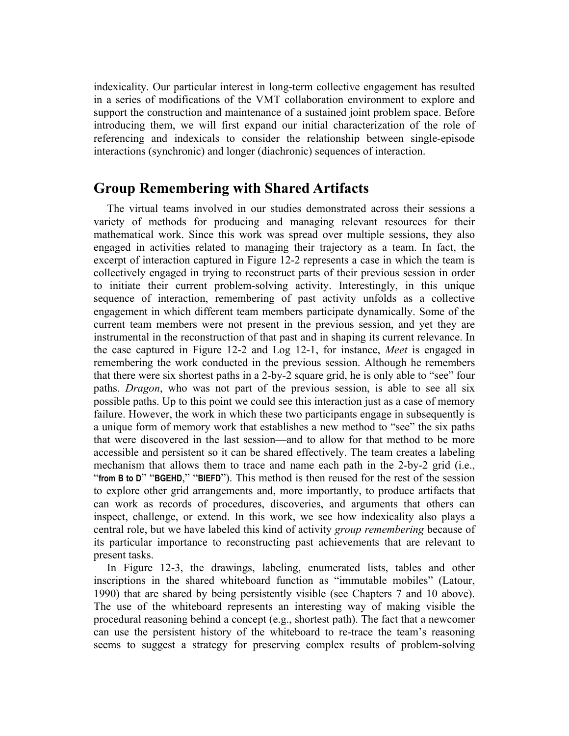indexicality. Our particular interest in long-term collective engagement has resulted in a series of modifications of the VMT collaboration environment to explore and support the construction and maintenance of a sustained joint problem space. Before introducing them, we will first expand our initial characterization of the role of referencing and indexicals to consider the relationship between single-episode interactions (synchronic) and longer (diachronic) sequences of interaction.

### **Group Remembering with Shared Artifacts**

The virtual teams involved in our studies demonstrated across their sessions a variety of methods for producing and managing relevant resources for their mathematical work. Since this work was spread over multiple sessions, they also engaged in activities related to managing their trajectory as a team. In fact, the excerpt of interaction captured in Figure 12-2 represents a case in which the team is collectively engaged in trying to reconstruct parts of their previous session in order to initiate their current problem-solving activity. Interestingly, in this unique sequence of interaction, remembering of past activity unfolds as a collective engagement in which different team members participate dynamically. Some of the current team members were not present in the previous session, and yet they are instrumental in the reconstruction of that past and in shaping its current relevance. In the case captured in Figure 12-2 and Log 12-1, for instance, *Meet* is engaged in remembering the work conducted in the previous session. Although he remembers that there were six shortest paths in a 2-by-2 square grid, he is only able to "see" four paths. *Dragon*, who was not part of the previous session, is able to see all six possible paths. Up to this point we could see this interaction just as a case of memory failure. However, the work in which these two participants engage in subsequently is a unique form of memory work that establishes a new method to "see" the six paths that were discovered in the last session—and to allow for that method to be more accessible and persistent so it can be shared effectively. The team creates a labeling mechanism that allows them to trace and name each path in the 2-by-2 grid (i.e., "**from B to D**" "**BGEHD**," "**BIEFD**"). This method is then reused for the rest of the session to explore other grid arrangements and, more importantly, to produce artifacts that can work as records of procedures, discoveries, and arguments that others can inspect, challenge, or extend. In this work, we see how indexicality also plays a central role, but we have labeled this kind of activity *group remembering* because of its particular importance to reconstructing past achievements that are relevant to present tasks.

In Figure 12-3, the drawings, labeling, enumerated lists, tables and other inscriptions in the shared whiteboard function as "immutable mobiles" (Latour, 1990) that are shared by being persistently visible (see Chapters 7 and 10 above). The use of the whiteboard represents an interesting way of making visible the procedural reasoning behind a concept (e.g., shortest path). The fact that a newcomer can use the persistent history of the whiteboard to re-trace the team's reasoning seems to suggest a strategy for preserving complex results of problem-solving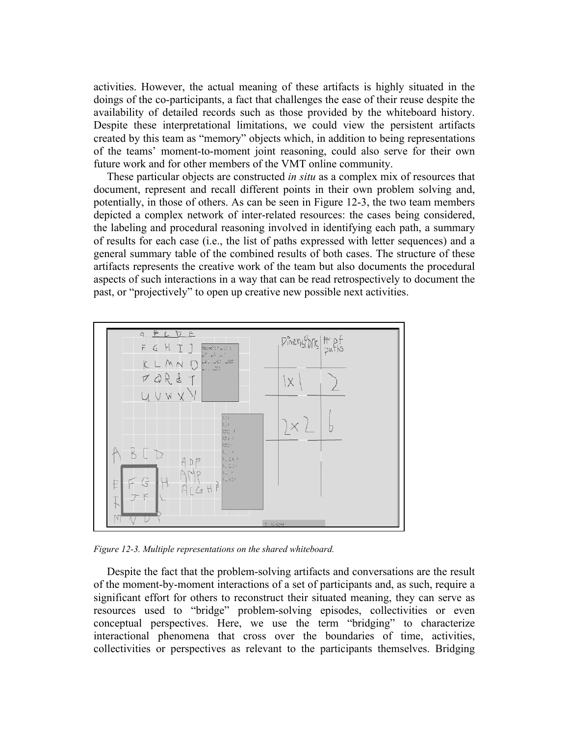activities. However, the actual meaning of these artifacts is highly situated in the doings of the co-participants, a fact that challenges the ease of their reuse despite the availability of detailed records such as those provided by the whiteboard history. Despite these interpretational limitations, we could view the persistent artifacts created by this team as "memory" objects which, in addition to being representations of the teams' moment-to-moment joint reasoning, could also serve for their own future work and for other members of the VMT online community.

These particular objects are constructed *in situ* as a complex mix of resources that document, represent and recall different points in their own problem solving and, potentially, in those of others. As can be seen in Figure 12-3, the two team members depicted a complex network of inter-related resources: the cases being considered, the labeling and procedural reasoning involved in identifying each path, a summary of results for each case (i.e., the list of paths expressed with letter sequences) and a general summary table of the combined results of both cases. The structure of these artifacts represents the creative work of the team but also documents the procedural aspects of such interactions in a way that can be read retrospectively to document the past, or "projectively" to open up creative new possible next activities.



*Figure 12-3. Multiple representations on the shared whiteboard.*

Despite the fact that the problem-solving artifacts and conversations are the result of the moment-by-moment interactions of a set of participants and, as such, require a significant effort for others to reconstruct their situated meaning, they can serve as resources used to "bridge" problem-solving episodes, collectivities or even conceptual perspectives. Here, we use the term "bridging" to characterize interactional phenomena that cross over the boundaries of time, activities, collectivities or perspectives as relevant to the participants themselves. Bridging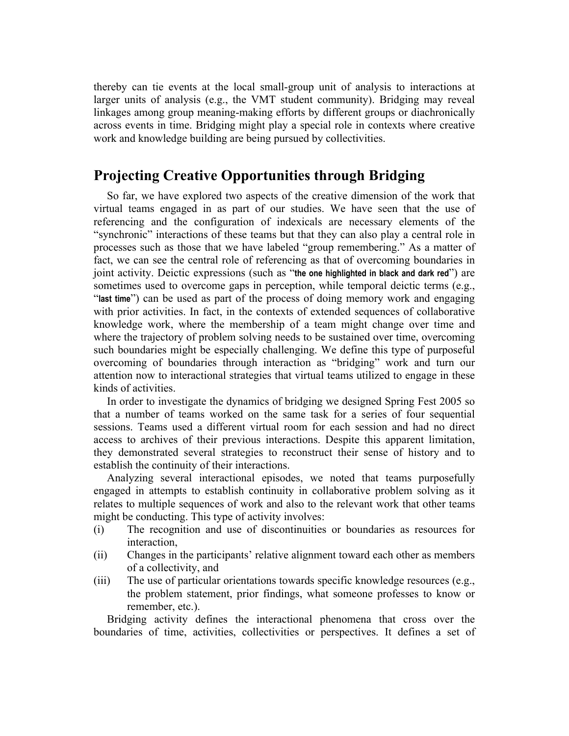thereby can tie events at the local small-group unit of analysis to interactions at larger units of analysis (e.g., the VMT student community). Bridging may reveal linkages among group meaning-making efforts by different groups or diachronically across events in time. Bridging might play a special role in contexts where creative work and knowledge building are being pursued by collectivities.

### **Projecting Creative Opportunities through Bridging**

So far, we have explored two aspects of the creative dimension of the work that virtual teams engaged in as part of our studies. We have seen that the use of referencing and the configuration of indexicals are necessary elements of the "synchronic" interactions of these teams but that they can also play a central role in processes such as those that we have labeled "group remembering." As a matter of fact, we can see the central role of referencing as that of overcoming boundaries in joint activity. Deictic expressions (such as "**the one highlighted in black and dark red**") are sometimes used to overcome gaps in perception, while temporal deictic terms (e.g., "**last time**") can be used as part of the process of doing memory work and engaging with prior activities. In fact, in the contexts of extended sequences of collaborative knowledge work, where the membership of a team might change over time and where the trajectory of problem solving needs to be sustained over time, overcoming such boundaries might be especially challenging. We define this type of purposeful overcoming of boundaries through interaction as "bridging" work and turn our attention now to interactional strategies that virtual teams utilized to engage in these kinds of activities.

In order to investigate the dynamics of bridging we designed Spring Fest 2005 so that a number of teams worked on the same task for a series of four sequential sessions. Teams used a different virtual room for each session and had no direct access to archives of their previous interactions. Despite this apparent limitation, they demonstrated several strategies to reconstruct their sense of history and to establish the continuity of their interactions.

Analyzing several interactional episodes, we noted that teams purposefully engaged in attempts to establish continuity in collaborative problem solving as it relates to multiple sequences of work and also to the relevant work that other teams might be conducting. This type of activity involves:

- (i) The recognition and use of discontinuities or boundaries as resources for interaction,
- (ii) Changes in the participants' relative alignment toward each other as members of a collectivity, and
- (iii) The use of particular orientations towards specific knowledge resources (e.g., the problem statement, prior findings, what someone professes to know or remember, etc.).

Bridging activity defines the interactional phenomena that cross over the boundaries of time, activities, collectivities or perspectives. It defines a set of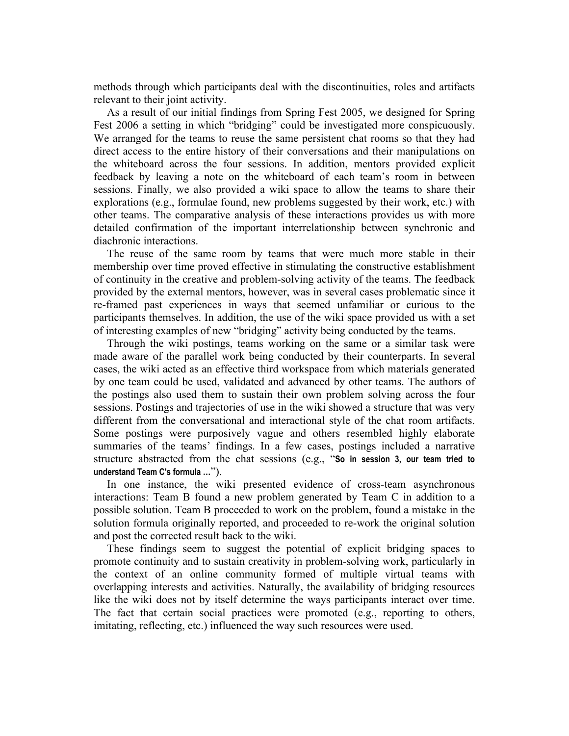methods through which participants deal with the discontinuities, roles and artifacts relevant to their joint activity.

As a result of our initial findings from Spring Fest 2005, we designed for Spring Fest 2006 a setting in which "bridging" could be investigated more conspicuously. We arranged for the teams to reuse the same persistent chat rooms so that they had direct access to the entire history of their conversations and their manipulations on the whiteboard across the four sessions. In addition, mentors provided explicit feedback by leaving a note on the whiteboard of each team's room in between sessions. Finally, we also provided a wiki space to allow the teams to share their explorations (e.g., formulae found, new problems suggested by their work, etc.) with other teams. The comparative analysis of these interactions provides us with more detailed confirmation of the important interrelationship between synchronic and diachronic interactions.

The reuse of the same room by teams that were much more stable in their membership over time proved effective in stimulating the constructive establishment of continuity in the creative and problem-solving activity of the teams. The feedback provided by the external mentors, however, was in several cases problematic since it re-framed past experiences in ways that seemed unfamiliar or curious to the participants themselves. In addition, the use of the wiki space provided us with a set of interesting examples of new "bridging" activity being conducted by the teams.

Through the wiki postings, teams working on the same or a similar task were made aware of the parallel work being conducted by their counterparts. In several cases, the wiki acted as an effective third workspace from which materials generated by one team could be used, validated and advanced by other teams. The authors of the postings also used them to sustain their own problem solving across the four sessions. Postings and trajectories of use in the wiki showed a structure that was very different from the conversational and interactional style of the chat room artifacts. Some postings were purposively vague and others resembled highly elaborate summaries of the teams' findings. In a few cases, postings included a narrative structure abstracted from the chat sessions (e.g., "**So in session 3, our team tried to understand Team C's formula …**").

In one instance, the wiki presented evidence of cross-team asynchronous interactions: Team B found a new problem generated by Team C in addition to a possible solution. Team B proceeded to work on the problem, found a mistake in the solution formula originally reported, and proceeded to re-work the original solution and post the corrected result back to the wiki.

These findings seem to suggest the potential of explicit bridging spaces to promote continuity and to sustain creativity in problem-solving work, particularly in the context of an online community formed of multiple virtual teams with overlapping interests and activities. Naturally, the availability of bridging resources like the wiki does not by itself determine the ways participants interact over time. The fact that certain social practices were promoted (e.g., reporting to others, imitating, reflecting, etc.) influenced the way such resources were used.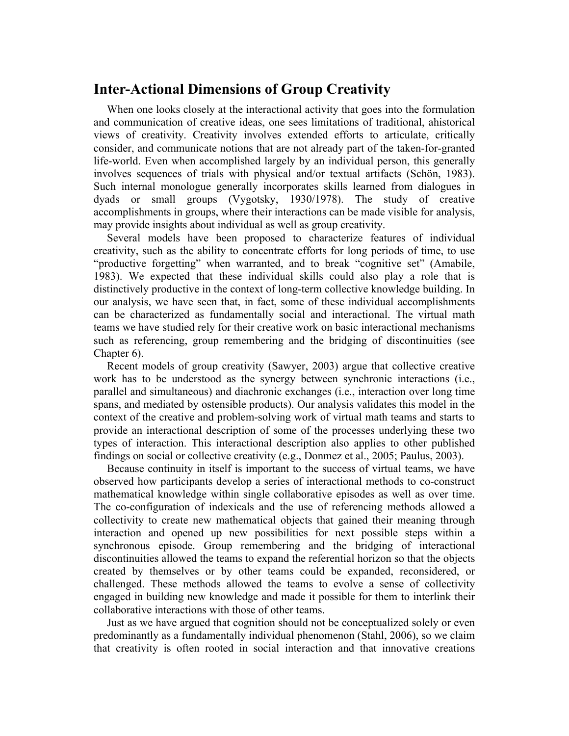### **Inter-Actional Dimensions of Group Creativity**

When one looks closely at the interactional activity that goes into the formulation and communication of creative ideas, one sees limitations of traditional, ahistorical views of creativity. Creativity involves extended efforts to articulate, critically consider, and communicate notions that are not already part of the taken-for-granted life-world. Even when accomplished largely by an individual person, this generally involves sequences of trials with physical and/or textual artifacts (Schön, 1983). Such internal monologue generally incorporates skills learned from dialogues in dyads or small groups (Vygotsky, 1930/1978). The study of creative accomplishments in groups, where their interactions can be made visible for analysis, may provide insights about individual as well as group creativity.

Several models have been proposed to characterize features of individual creativity, such as the ability to concentrate efforts for long periods of time, to use "productive forgetting" when warranted, and to break "cognitive set" (Amabile, 1983). We expected that these individual skills could also play a role that is distinctively productive in the context of long-term collective knowledge building. In our analysis, we have seen that, in fact, some of these individual accomplishments can be characterized as fundamentally social and interactional. The virtual math teams we have studied rely for their creative work on basic interactional mechanisms such as referencing, group remembering and the bridging of discontinuities (see Chapter 6).

Recent models of group creativity (Sawyer, 2003) argue that collective creative work has to be understood as the synergy between synchronic interactions (i.e., parallel and simultaneous) and diachronic exchanges (i.e., interaction over long time spans, and mediated by ostensible products). Our analysis validates this model in the context of the creative and problem-solving work of virtual math teams and starts to provide an interactional description of some of the processes underlying these two types of interaction. This interactional description also applies to other published findings on social or collective creativity (e.g., Donmez et al., 2005; Paulus, 2003).

Because continuity in itself is important to the success of virtual teams, we have observed how participants develop a series of interactional methods to co-construct mathematical knowledge within single collaborative episodes as well as over time. The co-configuration of indexicals and the use of referencing methods allowed a collectivity to create new mathematical objects that gained their meaning through interaction and opened up new possibilities for next possible steps within a synchronous episode. Group remembering and the bridging of interactional discontinuities allowed the teams to expand the referential horizon so that the objects created by themselves or by other teams could be expanded, reconsidered, or challenged. These methods allowed the teams to evolve a sense of collectivity engaged in building new knowledge and made it possible for them to interlink their collaborative interactions with those of other teams.

Just as we have argued that cognition should not be conceptualized solely or even predominantly as a fundamentally individual phenomenon (Stahl, 2006), so we claim that creativity is often rooted in social interaction and that innovative creations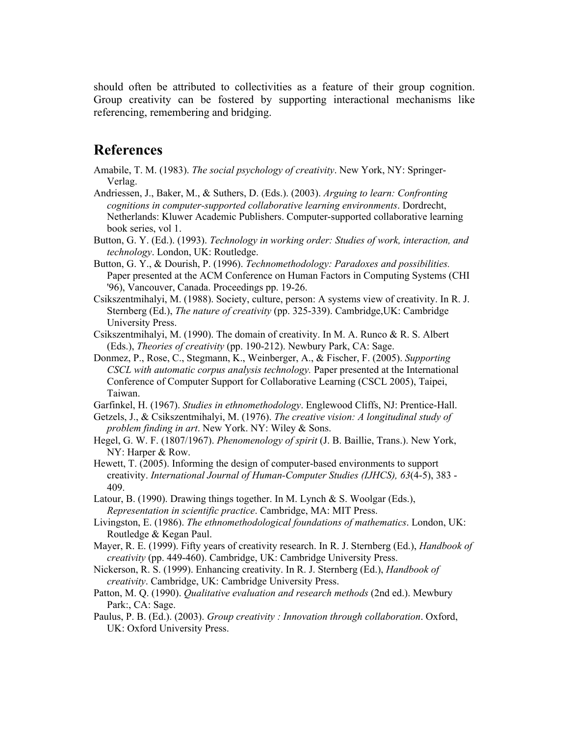should often be attributed to collectivities as a feature of their group cognition. Group creativity can be fostered by supporting interactional mechanisms like referencing, remembering and bridging.

### **References**

- Amabile, T. M. (1983). *The social psychology of creativity*. New York, NY: Springer-Verlag.
- Andriessen, J., Baker, M., & Suthers, D. (Eds.). (2003). *Arguing to learn: Confronting cognitions in computer-supported collaborative learning environments*. Dordrecht, Netherlands: Kluwer Academic Publishers. Computer-supported collaborative learning book series, vol 1.
- Button, G. Y. (Ed.). (1993). *Technology in working order: Studies of work, interaction, and technology*. London, UK: Routledge.
- Button, G. Y., & Dourish, P. (1996). *Technomethodology: Paradoxes and possibilities.* Paper presented at the ACM Conference on Human Factors in Computing Systems (CHI '96), Vancouver, Canada. Proceedings pp. 19-26.
- Csikszentmihalyi, M. (1988). Society, culture, person: A systems view of creativity. In R. J. Sternberg (Ed.), *The nature of creativity* (pp. 325-339). Cambridge,UK: Cambridge University Press.
- Csikszentmihalyi, M. (1990). The domain of creativity. In M. A. Runco & R. S. Albert (Eds.), *Theories of creativity* (pp. 190-212). Newbury Park, CA: Sage.
- Donmez, P., Rose, C., Stegmann, K., Weinberger, A., & Fischer, F. (2005). *Supporting CSCL with automatic corpus analysis technology.* Paper presented at the International Conference of Computer Support for Collaborative Learning (CSCL 2005), Taipei, Taiwan.
- Garfinkel, H. (1967). *Studies in ethnomethodology*. Englewood Cliffs, NJ: Prentice-Hall.
- Getzels, J., & Csikszentmihalyi, M. (1976). *The creative vision: A longitudinal study of problem finding in art*. New York. NY: Wiley & Sons.
- Hegel, G. W. F. (1807/1967). *Phenomenology of spirit* (J. B. Baillie, Trans.). New York, NY: Harper & Row.
- Hewett, T. (2005). Informing the design of computer-based environments to support creativity. *International Journal of Human-Computer Studies (IJHCS), 63*(4-5), 383 - 409.
- Latour, B. (1990). Drawing things together. In M. Lynch & S. Woolgar (Eds.), *Representation in scientific practice*. Cambridge, MA: MIT Press.
- Livingston, E. (1986). *The ethnomethodological foundations of mathematics*. London, UK: Routledge & Kegan Paul.
- Mayer, R. E. (1999). Fifty years of creativity research. In R. J. Sternberg (Ed.), *Handbook of creativity* (pp. 449-460). Cambridge, UK: Cambridge University Press.
- Nickerson, R. S. (1999). Enhancing creativity. In R. J. Sternberg (Ed.), *Handbook of creativity*. Cambridge, UK: Cambridge University Press.
- Patton, M. Q. (1990). *Qualitative evaluation and research methods* (2nd ed.). Mewbury Park:, CA: Sage.
- Paulus, P. B. (Ed.). (2003). *Group creativity : Innovation through collaboration*. Oxford, UK: Oxford University Press.